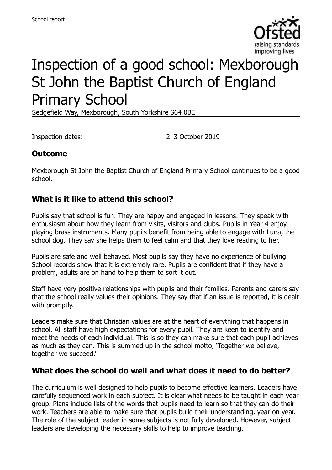

# Inspection of a good school: Mexborough St John the Baptist Church of England Primary School

Sedgefield Way, Mexborough, South Yorkshire S64 0BE

Inspection dates: 2–3 October 2019

# **Outcome**

Mexborough St John the Baptist Church of England Primary School continues to be a good school.

#### **What is it like to attend this school?**

Pupils say that school is fun. They are happy and engaged in lessons. They speak with enthusiasm about how they learn from visits, visitors and clubs. Pupils in Year 4 enjoy playing brass instruments. Many pupils benefit from being able to engage with Luna, the school dog. They say she helps them to feel calm and that they love reading to her.

Pupils are safe and well behaved. Most pupils say they have no experience of bullying. School records show that it is extremely rare. Pupils are confident that if they have a problem, adults are on hand to help them to sort it out.

Staff have very positive relationships with pupils and their families. Parents and carers say that the school really values their opinions. They say that if an issue is reported, it is dealt with promptly.

Leaders make sure that Christian values are at the heart of everything that happens in school. All staff have high expectations for every pupil. They are keen to identify and meet the needs of each individual. This is so they can make sure that each pupil achieves as much as they can. This is summed up in the school motto, 'Together we believe, together we succeed.'

### **What does the school do well and what does it need to do better?**

The curriculum is well designed to help pupils to become effective learners. Leaders have carefully sequenced work in each subject. It is clear what needs to be taught in each year group. Plans include lists of the words that pupils need to learn so that they can do their work. Teachers are able to make sure that pupils build their understanding, year on year. The role of the subject leader in some subjects is not fully developed. However, subject leaders are developing the necessary skills to help to improve teaching.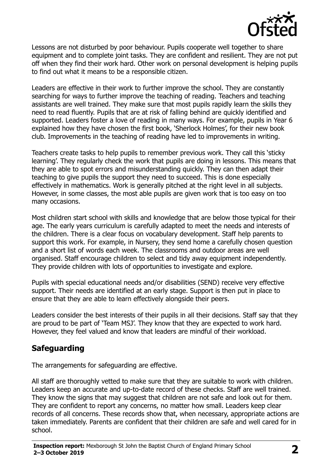

Lessons are not disturbed by poor behaviour. Pupils cooperate well together to share equipment and to complete joint tasks. They are confident and resilient. They are not put off when they find their work hard. Other work on personal development is helping pupils to find out what it means to be a responsible citizen.

Leaders are effective in their work to further improve the school. They are constantly searching for ways to further improve the teaching of reading. Teachers and teaching assistants are well trained. They make sure that most pupils rapidly learn the skills they need to read fluently. Pupils that are at risk of falling behind are quickly identified and supported. Leaders foster a love of reading in many ways. For example, pupils in Year 6 explained how they have chosen the first book, 'Sherlock Holmes', for their new book club. Improvements in the teaching of reading have led to improvements in writing.

Teachers create tasks to help pupils to remember previous work. They call this 'sticky learning'. They regularly check the work that pupils are doing in lessons. This means that they are able to spot errors and misunderstanding quickly. They can then adapt their teaching to give pupils the support they need to succeed. This is done especially effectively in mathematics. Work is generally pitched at the right level in all subjects. However, in some classes, the most able pupils are given work that is too easy on too many occasions.

Most children start school with skills and knowledge that are below those typical for their age. The early years curriculum is carefully adapted to meet the needs and interests of the children. There is a clear focus on vocabulary development. Staff help parents to support this work. For example, in Nursery, they send home a carefully chosen question and a short list of words each week. The classrooms and outdoor areas are well organised. Staff encourage children to select and tidy away equipment independently. They provide children with lots of opportunities to investigate and explore.

Pupils with special educational needs and/or disabilities (SEND) receive very effective support. Their needs are identified at an early stage. Support is then put in place to ensure that they are able to learn effectively alongside their peers.

Leaders consider the best interests of their pupils in all their decisions. Staff say that they are proud to be part of 'Team MSJ'. They know that they are expected to work hard. However, they feel valued and know that leaders are mindful of their workload.

# **Safeguarding**

The arrangements for safeguarding are effective.

All staff are thoroughly vetted to make sure that they are suitable to work with children. Leaders keep an accurate and up-to-date record of these checks. Staff are well trained. They know the signs that may suggest that children are not safe and look out for them. They are confident to report any concerns, no matter how small. Leaders keep clear records of all concerns. These records show that, when necessary, appropriate actions are taken immediately. Parents are confident that their children are safe and well cared for in school.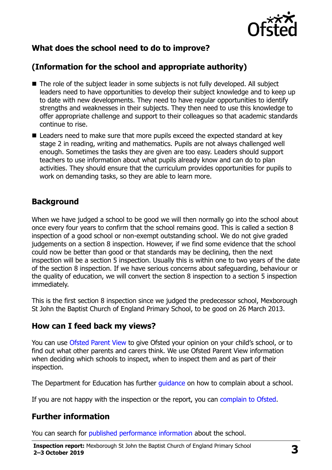

# **What does the school need to do to improve?**

# **(Information for the school and appropriate authority)**

- The role of the subject leader in some subjects is not fully developed. All subject leaders need to have opportunities to develop their subject knowledge and to keep up to date with new developments. They need to have regular opportunities to identify strengths and weaknesses in their subjects. They then need to use this knowledge to offer appropriate challenge and support to their colleagues so that academic standards continue to rise.
- $\blacksquare$  Leaders need to make sure that more pupils exceed the expected standard at key stage 2 in reading, writing and mathematics. Pupils are not always challenged well enough. Sometimes the tasks they are given are too easy. Leaders should support teachers to use information about what pupils already know and can do to plan activities. They should ensure that the curriculum provides opportunities for pupils to work on demanding tasks, so they are able to learn more.

### **Background**

When we have judged a school to be good we will then normally go into the school about once every four years to confirm that the school remains good. This is called a section 8 inspection of a good school or non-exempt outstanding school. We do not give graded judgements on a section 8 inspection. However, if we find some evidence that the school could now be better than good or that standards may be declining, then the next inspection will be a section 5 inspection. Usually this is within one to two years of the date of the section 8 inspection. If we have serious concerns about safeguarding, behaviour or the quality of education, we will convert the section 8 inspection to a section 5 inspection immediately.

This is the first section 8 inspection since we judged the predecessor school, Mexborough St John the Baptist Church of England Primary School, to be good on 26 March 2013.

#### **How can I feed back my views?**

You can use [Ofsted Parent View](https://parentview.ofsted.gov.uk/) to give Ofsted your opinion on your child's school, or to find out what other parents and carers think. We use Ofsted Parent View information when deciding which schools to inspect, when to inspect them and as part of their inspection.

The Department for Education has further quidance on how to complain about a school.

If you are not happy with the inspection or the report, you can [complain to Ofsted.](https://www.gov.uk/complain-ofsted-report)

### **Further information**

You can search for [published performance information](http://www.compare-school-performance.service.gov.uk/) about the school.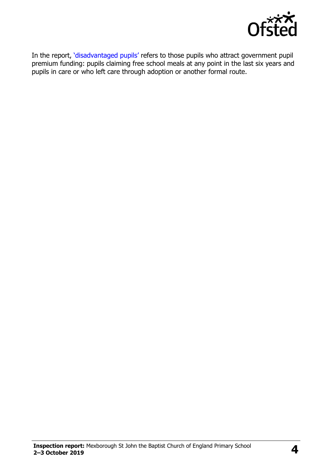

In the report, '[disadvantaged pupils](http://www.gov.uk/guidance/pupil-premium-information-for-schools-and-alternative-provision-settings)' refers to those pupils who attract government pupil premium funding: pupils claiming free school meals at any point in the last six years and pupils in care or who left care through adoption or another formal route.

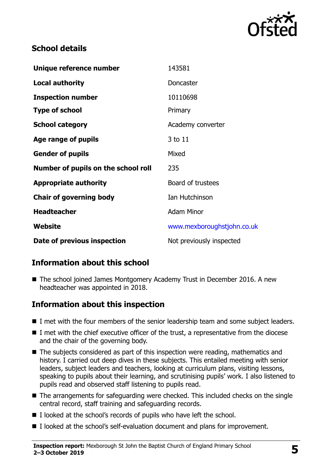

# **School details**

| Unique reference number             | 143581                     |
|-------------------------------------|----------------------------|
| <b>Local authority</b>              | Doncaster                  |
| <b>Inspection number</b>            | 10110698                   |
| <b>Type of school</b>               | Primary                    |
| <b>School category</b>              | Academy converter          |
| Age range of pupils                 | 3 to 11                    |
| <b>Gender of pupils</b>             | Mixed                      |
| Number of pupils on the school roll | 235                        |
| <b>Appropriate authority</b>        | Board of trustees          |
| <b>Chair of governing body</b>      | Ian Hutchinson             |
| <b>Headteacher</b>                  | <b>Adam Minor</b>          |
| Website                             | www.mexboroughstjohn.co.uk |
| Date of previous inspection         | Not previously inspected   |

# **Information about this school**

■ The school joined James Montgomery Academy Trust in December 2016. A new headteacher was appointed in 2018.

### **Information about this inspection**

- I met with the four members of the senior leadership team and some subject leaders.
- I met with the chief executive officer of the trust, a representative from the diocese and the chair of the governing body.
- The subjects considered as part of this inspection were reading, mathematics and history. I carried out deep dives in these subjects. This entailed meeting with senior leaders, subject leaders and teachers, looking at curriculum plans, visiting lessons, speaking to pupils about their learning, and scrutinising pupils' work. I also listened to pupils read and observed staff listening to pupils read.
- The arrangements for safeguarding were checked. This included checks on the single central record, staff training and safeguarding records.
- I looked at the school's records of pupils who have left the school.
- I looked at the school's self-evaluation document and plans for improvement.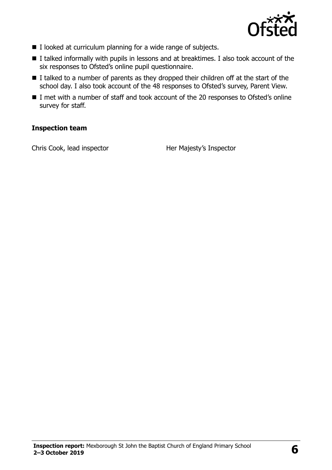

- I looked at curriculum planning for a wide range of subjects.
- I talked informally with pupils in lessons and at breaktimes. I also took account of the six responses to Ofsted's online pupil questionnaire.
- I talked to a number of parents as they dropped their children off at the start of the school day. I also took account of the 48 responses to Ofsted's survey, Parent View.
- I met with a number of staff and took account of the 20 responses to Ofsted's online survey for staff.

#### **Inspection team**

Chris Cook, lead inspector **Her Majesty's Inspector**